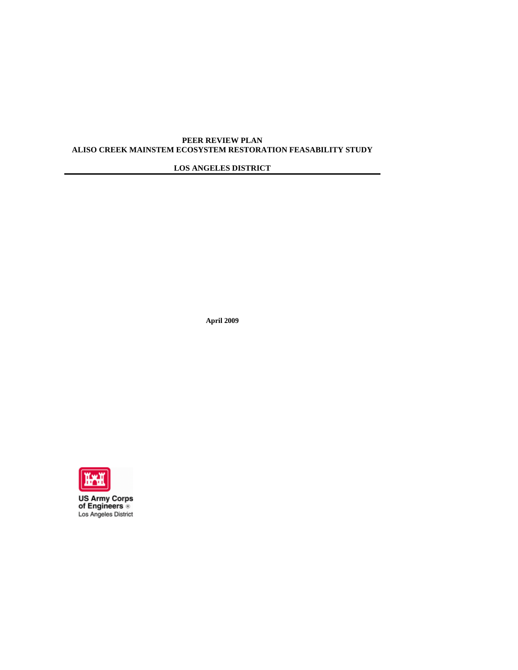# **PEER REVIEW PLAN ALISO CREEK MAINSTEM ECOSYSTEM RESTORATION FEASABILITY STUDY**

# **LOS ANGELES DISTRICT**

**April 2009** 



**US Army Corps<br>of Engineers ®**<br>Los Angeles District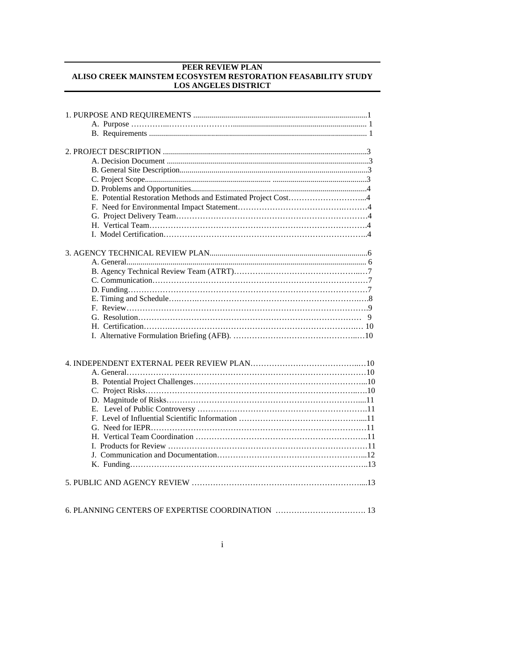# **PEER REVIEW PLAN ALISO CREEK MAINSTEM ECOSYSTEM RESTORATION FEASABILITY STUDY LOS ANGELES DISTRICT**

| E. Potential Restoration Methods and Estimated Project Cost4 |
|--------------------------------------------------------------|
|                                                              |
|                                                              |
|                                                              |
|                                                              |
|                                                              |
|                                                              |
|                                                              |
|                                                              |
|                                                              |
|                                                              |
|                                                              |
|                                                              |
|                                                              |
|                                                              |
|                                                              |
|                                                              |
|                                                              |
|                                                              |
|                                                              |
|                                                              |
|                                                              |
|                                                              |
|                                                              |
|                                                              |
|                                                              |
|                                                              |
|                                                              |
|                                                              |
|                                                              |
|                                                              |
| 6. PLANNING CENTERS OF EXPERTISE COORDINATION  13            |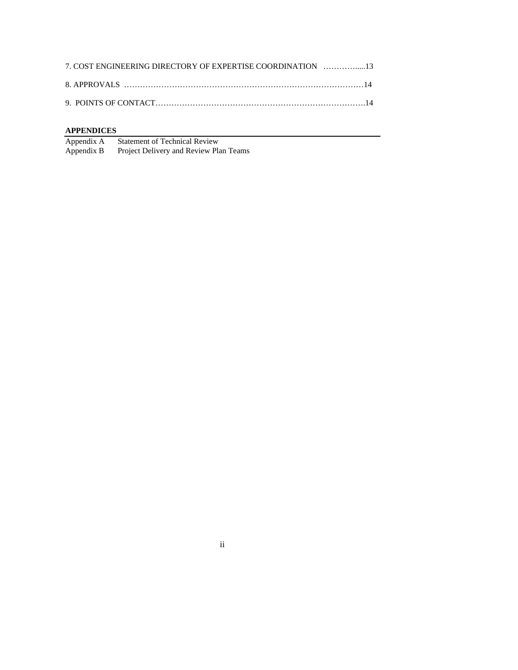| 7. COST ENGINEERING DIRECTORY OF EXPERTISE COORDINATION 13 |  |
|------------------------------------------------------------|--|
|                                                            |  |
|                                                            |  |

**APPENDICES**<br>Appendix A<br>Appendix B **Statement of Technical Review** Project Delivery and Review Plan Teams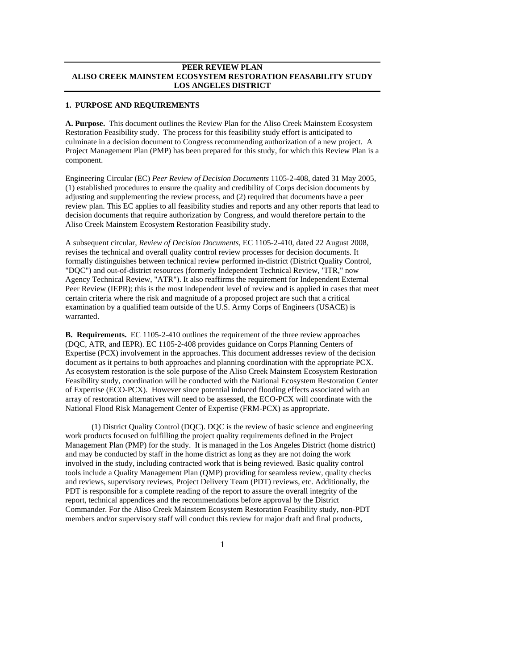## **PEER REVIEW PLAN ALISO CREEK MAINSTEM ECOSYSTEM RESTORATION FEASABILITY STUDY LOS ANGELES DISTRICT**

#### **1. PURPOSE AND REQUIREMENTS**

**A. Purpose.** This document outlines the Review Plan for the Aliso Creek Mainstem Ecosystem Restoration Feasibility study. The process for this feasibility study effort is anticipated to culminate in a decision document to Congress recommending authorization of a new project. A Project Management Plan (PMP) has been prepared for this study, for which this Review Plan is a component.

Engineering Circular (EC) *Peer Review of Decision Documents* 1105-2-408, dated 31 May 2005, (1) established procedures to ensure the quality and credibility of Corps decision documents by adjusting and supplementing the review process, and (2) required that documents have a peer review plan. This EC applies to all feasibility studies and reports and any other reports that lead to decision documents that require authorization by Congress, and would therefore pertain to the Aliso Creek Mainstem Ecosystem Restoration Feasibility study.

A subsequent circular, *Review of Decision Documents*, EC 1105-2-410, dated 22 August 2008, revises the technical and overall quality control review processes for decision documents. It formally distinguishes between technical review performed in-district (District Quality Control, "DQC") and out-of-district resources (formerly Independent Technical Review, "ITR," now Agency Technical Review, "ATR"). It also reaffirms the requirement for Independent External Peer Review (IEPR); this is the most independent level of review and is applied in cases that meet certain criteria where the risk and magnitude of a proposed project are such that a critical examination by a qualified team outside of the U.S. Army Corps of Engineers (USACE) is warranted.

**B. Requirements.** EC 1105-2-410 outlines the requirement of the three review approaches (DQC, ATR, and IEPR). EC 1105-2-408 provides guidance on Corps Planning Centers of Expertise (PCX) involvement in the approaches. This document addresses review of the decision document as it pertains to both approaches and planning coordination with the appropriate PCX. As ecosystem restoration is the sole purpose of the Aliso Creek Mainstem Ecosystem Restoration Feasibility study, coordination will be conducted with the National Ecosystem Restoration Center of Expertise (ECO-PCX). However since potential induced flooding effects associated with an array of restoration alternatives will need to be assessed, the ECO-PCX will coordinate with the National Flood Risk Management Center of Expertise (FRM-PCX) as appropriate.

(1) District Quality Control (DQC). DQC is the review of basic science and engineering work products focused on fulfilling the project quality requirements defined in the Project Management Plan (PMP) for the study. It is managed in the Los Angeles District (home district) and may be conducted by staff in the home district as long as they are not doing the work involved in the study, including contracted work that is being reviewed. Basic quality control tools include a Quality Management Plan (QMP) providing for seamless review, quality checks and reviews, supervisory reviews, Project Delivery Team (PDT) reviews, etc. Additionally, the PDT is responsible for a complete reading of the report to assure the overall integrity of the report, technical appendices and the recommendations before approval by the District Commander. For the Aliso Creek Mainstem Ecosystem Restoration Feasibility study, non-PDT members and/or supervisory staff will conduct this review for major draft and final products,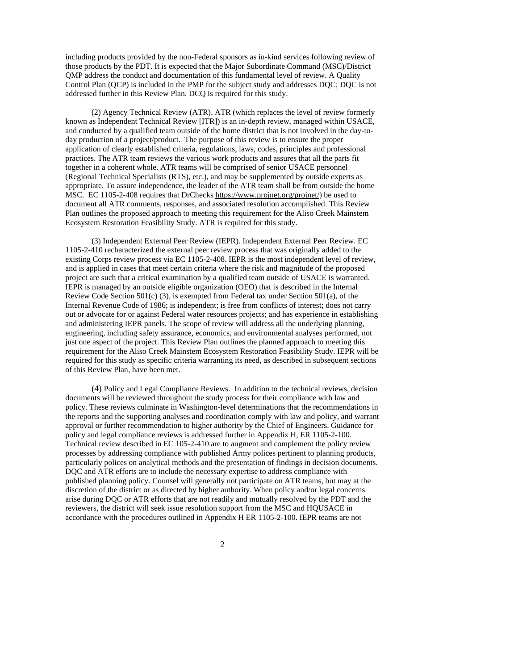including products provided by the non-Federal sponsors as in-kind services following review of those products by the PDT. It is expected that the Major Subordinate Command (MSC)/District QMP address the conduct and documentation of this fundamental level of review. A Quality Control Plan (QCP) is included in the PMP for the subject study and addresses DQC; DQC is not addressed further in this Review Plan. DCQ is required for this study.

(2) Agency Technical Review (ATR). ATR (which replaces the level of review formerly known as Independent Technical Review [ITR]) is an in-depth review, managed within USACE, and conducted by a qualified team outside of the home district that is not involved in the day-today production of a project/product. The purpose of this review is to ensure the proper application of clearly established criteria, regulations, laws, codes, principles and professional practices. The ATR team reviews the various work products and assures that all the parts fit together in a coherent whole. ATR teams will be comprised of senior USACE personnel (Regional Technical Specialists (RTS), etc.), and may be supplemented by outside experts as appropriate. To assure independence, the leader of the ATR team shall be from outside the home MSC. EC 1105-2-408 requires that DrChecks https://www.projnet.org/projnet/) be used to document all ATR comments, responses, and associated resolution accomplished. This Review Plan outlines the proposed approach to meeting this requirement for the Aliso Creek Mainstem Ecosystem Restoration Feasibility Study. ATR is required for this study.

(3) Independent External Peer Review (IEPR). Independent External Peer Review. EC 1105-2-410 recharacterized the external peer review process that was originally added to the existing Corps review process via EC 1105-2-408. IEPR is the most independent level of review, and is applied in cases that meet certain criteria where the risk and magnitude of the proposed project are such that a critical examination by a qualified team outside of USACE is warranted. IEPR is managed by an outside eligible organization (OEO) that is described in the Internal Review Code Section  $501(c)$  (3), is exempted from Federal tax under Section  $501(a)$ , of the Internal Revenue Code of 1986; is independent; is free from conflicts of interest; does not carry out or advocate for or against Federal water resources projects; and has experience in establishing and administering IEPR panels. The scope of review will address all the underlying planning, engineering, including safety assurance, economics, and environmental analyses performed, not just one aspect of the project. This Review Plan outlines the planned approach to meeting this requirement for the Aliso Creek Mainstem Ecosystem Restoration Feasibility Study. IEPR will be required for this study as specific criteria warranting its need, as described in subsequent sections of this Review Plan, have been met.

(4) Policy and Legal Compliance Reviews. In addition to the technical reviews, decision documents will be reviewed throughout the study process for their compliance with law and policy. These reviews culminate in Washington-level determinations that the recommendations in the reports and the supporting analyses and coordination comply with law and policy, and warrant approval or further recommendation to higher authority by the Chief of Engineers. Guidance for policy and legal compliance reviews is addressed further in Appendix H, ER 1105-2-100. Technical review described in EC 105-2-410 are to augment and complement the policy review processes by addressing compliance with published Army polices pertinent to planning products, particularly polices on analytical methods and the presentation of findings in decision documents. DQC and ATR efforts are to include the necessary expertise to address compliance with published planning policy. Counsel will generally not participate on ATR teams, but may at the discretion of the district or as directed by higher authority. When policy and/or legal concerns arise during DQC or ATR efforts that are not readily and mutually resolved by the PDT and the reviewers, the district will seek issue resolution support from the MSC and HQUSACE in accordance with the procedures outlined in Appendix H ER 1105-2-100. IEPR teams are not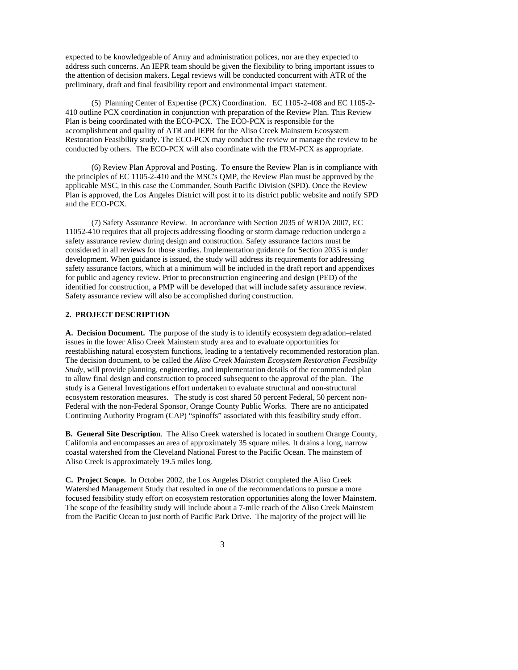expected to be knowledgeable of Army and administration polices, nor are they expected to address such concerns. An IEPR team should be given the flexibility to bring important issues to the attention of decision makers. Legal reviews will be conducted concurrent with ATR of the preliminary, draft and final feasibility report and environmental impact statement.

(5)Planning Center of Expertise (PCX) Coordination. EC 1105-2-408 and EC 1105-2- 410 outline PCX coordination in conjunction with preparation of the Review Plan. This Review Plan is being coordinated with the ECO-PCX. The ECO-PCX is responsible for the accomplishment and quality of ATR and IEPR for the Aliso Creek Mainstem Ecosystem Restoration Feasibility study. The ECO-PCX may conduct the review or manage the review to be conducted by others. The ECO-PCX will also coordinate with the FRM-PCX as appropriate.

(6) Review Plan Approval and Posting. To ensure the Review Plan is in compliance with the principles of EC 1105-2-410 and the MSC's QMP, the Review Plan must be approved by the applicable MSC, in this case the Commander, South Pacific Division (SPD). Once the Review Plan is approved, the Los Angeles District will post it to its district public website and notify SPD and the ECO-PCX.

(7) Safety Assurance Review. In accordance with Section 2035 of WRDA 2007, EC 11052-410 requires that all projects addressing flooding or storm damage reduction undergo a safety assurance review during design and construction. Safety assurance factors must be considered in all reviews for those studies. Implementation guidance for Section 2035 is under development. When guidance is issued, the study will address its requirements for addressing safety assurance factors, which at a minimum will be included in the draft report and appendixes for public and agency review. Prior to preconstruction engineering and design (PED) of the identified for construction, a PMP will be developed that will include safety assurance review. Safety assurance review will also be accomplished during construction.

# **2. PROJECT DESCRIPTION**

**A. Decision Document.** The purpose of the study is to identify ecosystem degradation–related issues in the lower Aliso Creek Mainstem study area and to evaluate opportunities for reestablishing natural ecosystem functions, leading to a tentatively recommended restoration plan. The decision document, to be called the *Aliso Creek Mainstem Ecosystem Restoration Feasibility Study*, will provide planning, engineering, and implementation details of the recommended plan to allow final design and construction to proceed subsequent to the approval of the plan. The study is a General Investigations effort undertaken to evaluate structural and non-structural ecosystem restoration measures. The study is cost shared 50 percent Federal, 50 percent non-Federal with the non-Federal Sponsor, Orange County Public Works. There are no anticipated Continuing Authority Program (CAP) "spinoffs" associated with this feasibility study effort.

**B. General Site Description**. The Aliso Creek watershed is located in southern Orange County, California and encompasses an area of approximately 35 square miles. It drains a long, narrow coastal watershed from the Cleveland National Forest to the Pacific Ocean. The mainstem of Aliso Creek is approximately 19.5 miles long.

**C. Project Scope.** In October 2002, the Los Angeles District completed the Aliso Creek Watershed Management Study that resulted in one of the recommendations to pursue a more focused feasibility study effort on ecosystem restoration opportunities along the lower Mainstem. The scope of the feasibility study will include about a 7-mile reach of the Aliso Creek Mainstem from the Pacific Ocean to just north of Pacific Park Drive. The majority of the project will lie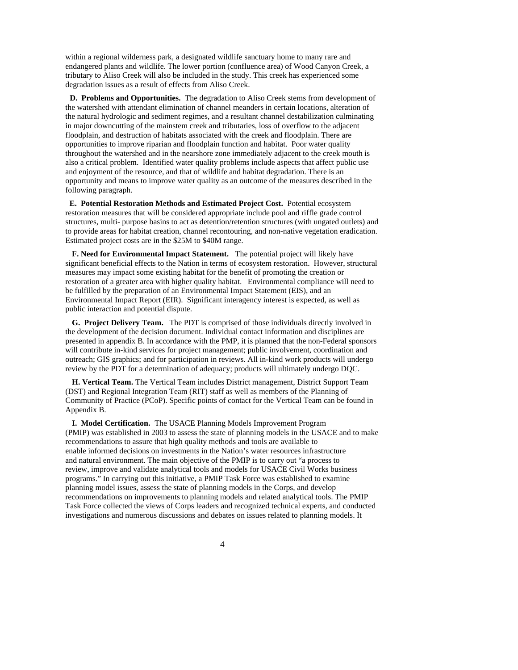within a regional wilderness park, a designated wildlife sanctuary home to many rare and endangered plants and wildlife. The lower portion (confluence area) of Wood Canyon Creek, a tributary to Aliso Creek will also be included in the study. This creek has experienced some degradation issues as a result of effects from Aliso Creek.

 **D. Problems and Opportunities.** The degradation to Aliso Creek stems from development of the watershed with attendant elimination of channel meanders in certain locations, alteration of the natural hydrologic and sediment regimes, and a resultant channel destabilization culminating in major downcutting of the mainstem creek and tributaries, loss of overflow to the adjacent floodplain, and destruction of habitats associated with the creek and floodplain. There are opportunities to improve riparian and floodplain function and habitat. Poor water quality throughout the watershed and in the nearshore zone immediately adjacent to the creek mouth is also a critical problem. Identified water quality problems include aspects that affect public use and enjoyment of the resource, and that of wildlife and habitat degradation. There is an opportunity and means to improve water quality as an outcome of the measures described in the following paragraph.

**E. Potential Restoration Methods and Estimated Project Cost.** Potential ecosystem restoration measures that will be considered appropriate include pool and riffle grade control structures, multi- purpose basins to act as detention/retention structures (with ungated outlets) and to provide areas for habitat creation, channel recontouring, and non-native vegetation eradication. Estimated project costs are in the \$25M to \$40M range.

**F. Need for Environmental Impact Statement.** The potential project will likely have significant beneficial effects to the Nation in terms of ecosystem restoration. However, structural measures may impact some existing habitat for the benefit of promoting the creation or restoration of a greater area with higher quality habitat. Environmental compliance will need to be fulfilled by the preparation of an Environmental Impact Statement (EIS), and an Environmental Impact Report (EIR). Significant interagency interest is expected, as well as public interaction and potential dispute.

**G. Project Delivery Team.** The PDT is comprised of those individuals directly involved in the development of the decision document. Individual contact information and disciplines are presented in appendix B. In accordance with the PMP, it is planned that the non-Federal sponsors will contribute in-kind services for project management; public involvement, coordination and outreach; GIS graphics; and for participation in reviews. All in-kind work products will undergo review by the PDT for a determination of adequacy; products will ultimately undergo DQC.

**H. Vertical Team.** The Vertical Team includes District management, District Support Team (DST) and Regional Integration Team (RIT) staff as well as members of the Planning of Community of Practice (PCoP). Specific points of contact for the Vertical Team can be found in Appendix B.

**I. Model Certification.** The USACE Planning Models Improvement Program (PMIP) was established in 2003 to assess the state of planning models in the USACE and to make recommendations to assure that high quality methods and tools are available to enable informed decisions on investments in the Nation's water resources infrastructure and natural environment. The main objective of the PMIP is to carry out "a process to review, improve and validate analytical tools and models for USACE Civil Works business programs." In carrying out this initiative, a PMIP Task Force was established to examine planning model issues, assess the state of planning models in the Corps, and develop recommendations on improvements to planning models and related analytical tools. The PMIP Task Force collected the views of Corps leaders and recognized technical experts, and conducted investigations and numerous discussions and debates on issues related to planning models. It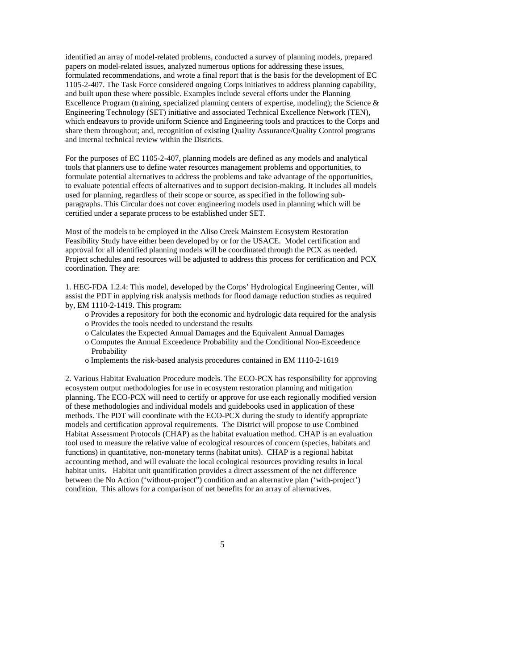identified an array of model-related problems, conducted a survey of planning models, prepared papers on model-related issues, analyzed numerous options for addressing these issues, formulated recommendations, and wrote a final report that is the basis for the development of EC 1105-2-407. The Task Force considered ongoing Corps initiatives to address planning capability, and built upon these where possible. Examples include several efforts under the Planning Excellence Program (training, specialized planning centers of expertise, modeling); the Science & Engineering Technology (SET) initiative and associated Technical Excellence Network (TEN), which endeavors to provide uniform Science and Engineering tools and practices to the Corps and share them throughout; and, recognition of existing Quality Assurance/Quality Control programs and internal technical review within the Districts.

For the purposes of EC 1105-2-407, planning models are defined as any models and analytical tools that planners use to define water resources management problems and opportunities, to formulate potential alternatives to address the problems and take advantage of the opportunities, to evaluate potential effects of alternatives and to support decision-making. It includes all models used for planning, regardless of their scope or source, as specified in the following subparagraphs. This Circular does not cover engineering models used in planning which will be certified under a separate process to be established under SET.

Most of the models to be employed in the Aliso Creek Mainstem Ecosystem Restoration Feasibility Study have either been developed by or for the USACE. Model certification and approval for all identified planning models will be coordinated through the PCX as needed. Project schedules and resources will be adjusted to address this process for certification and PCX coordination. They are:

1. HEC-FDA 1.2.4: This model, developed by the Corps' Hydrological Engineering Center, will assist the PDT in applying risk analysis methods for flood damage reduction studies as required by, EM 1110-2-1419. This program:

- o Provides a repository for both the economic and hydrologic data required for the analysis
- o Provides the tools needed to understand the results
- o Calculates the Expected Annual Damages and the Equivalent Annual Damages
- o Computes the Annual Exceedence Probability and the Conditional Non-Exceedence **Probability**
- o Implements the risk-based analysis procedures contained in EM 1110-2-1619

2. Various Habitat Evaluation Procedure models. The ECO-PCX has responsibility for approving ecosystem output methodologies for use in ecosystem restoration planning and mitigation planning. The ECO-PCX will need to certify or approve for use each regionally modified version of these methodologies and individual models and guidebooks used in application of these methods. The PDT will coordinate with the ECO-PCX during the study to identify appropriate models and certification approval requirements. The District will propose to use Combined Habitat Assessment Protocols (CHAP) as the habitat evaluation method. CHAP is an evaluation tool used to measure the relative value of ecological resources of concern (species, habitats and functions) in quantitative, non-monetary terms (habitat units). CHAP is a regional habitat accounting method, and will evaluate the local ecological resources providing results in local habitat units. Habitat unit quantification provides a direct assessment of the net difference between the No Action ('without-project") condition and an alternative plan ('with-project') condition. This allows for a comparison of net benefits for an array of alternatives.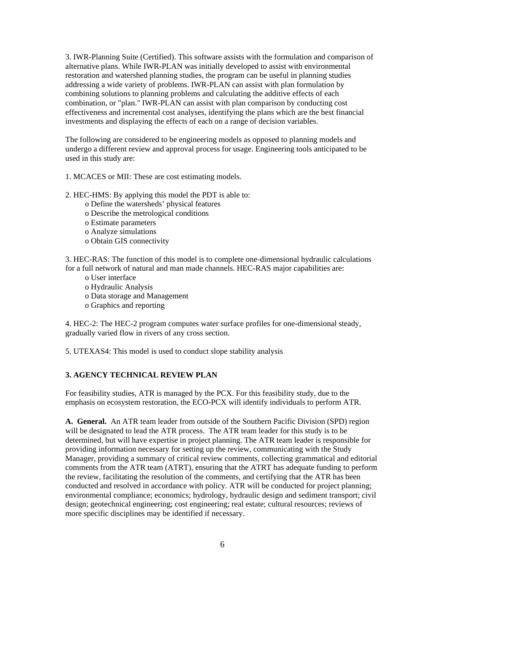3. IWR-Planning Suite (Certified). This software assists with the formulation and comparison of alternative plans. While IWR-PLAN was initially developed to assist with environmental restoration and watershed planning studies, the program can be useful in planning studies addressing a wide variety of problems. IWR-PLAN can assist with plan formulation by combining solutions to planning problems and calculating the additive effects of each combination, or "plan." IWR-PLAN can assist with plan comparison by conducting cost effectiveness and incremental cost analyses, identifying the plans which are the best financial investments and displaying the effects of each on a range of decision variables.

The following are considered to be engineering models as opposed to planning models and undergo a different review and approval process for usage. Engineering tools anticipated to be used in this study are:

1. MCACES or MII: These are cost estimating models.

2. HEC-HMS: By applying this model the PDT is able to:

- o Define the watersheds' physical features
- o Describe the metrological conditions
- o Estimate parameters
- o Analyze simulations
- o Obtain GIS connectivity

3. HEC-RAS: The function of this model is to complete one-dimensional hydraulic calculations for a full network of natural and man made channels. HEC-RAS major capabilities are:

- o User interface
- o Hydraulic Analysis
- o Data storage and Management
- o Graphics and reporting

4. HEC-2: The HEC-2 program computes water surface profiles for one-dimensional steady, gradually varied flow in rivers of any cross section.

5. UTEXAS4: This model is used to conduct slope stability analysis

#### **3. AGENCY TECHNICAL REVIEW PLAN**

For feasibility studies, ATR is managed by the PCX. For this feasibility study, due to the emphasis on ecosystem restoration, the ECO-PCX will identify individuals to perform ATR.

**A. General.** An ATR team leader from outside of the Southern Pacific Division (SPD) region will be designated to lead the ATR process. The ATR team leader for this study is to be determined, but will have expertise in project planning. The ATR team leader is responsible for providing information necessary for setting up the review, communicating with the Study Manager, providing a summary of critical review comments, collecting grammatical and editorial comments from the ATR team (ATRT), ensuring that the ATRT has adequate funding to perform the review, facilitating the resolution of the comments, and certifying that the ATR has been conducted and resolved in accordance with policy. ATR will be conducted for project planning; environmental compliance; economics; hydrology, hydraulic design and sediment transport; civil design; geotechnical engineering; cost engineering; real estate; cultural resources; reviews of more specific disciplines may be identified if necessary.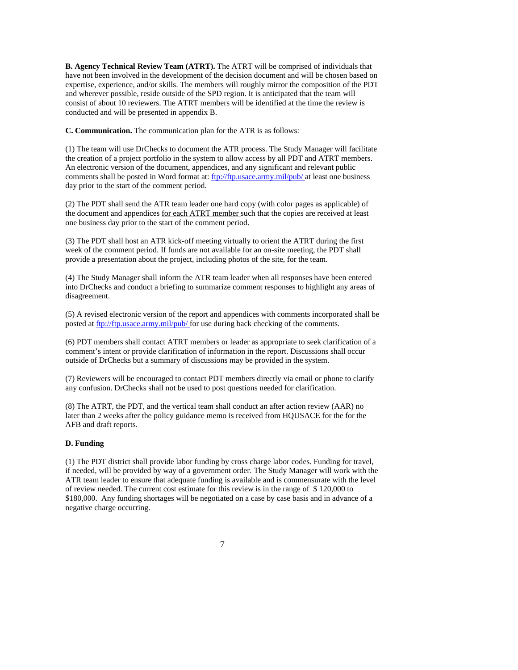**B. Agency Technical Review Team (ATRT).** The ATRT will be comprised of individuals that have not been involved in the development of the decision document and will be chosen based on expertise, experience, and/or skills. The members will roughly mirror the composition of the PDT and wherever possible, reside outside of the SPD region. It is anticipated that the team will consist of about 10 reviewers. The ATRT members will be identified at the time the review is conducted and will be presented in appendix B.

**C. Communication.** The communication plan for the ATR is as follows:

(1) The team will use DrChecks to document the ATR process. The Study Manager will facilitate the creation of a project portfolio in the system to allow access by all PDT and ATRT members. An electronic version of the document, appendices, and any significant and relevant public comments shall be posted in Word format at: ftp://ftp.usace.army.mil/pub/ at least one business day prior to the start of the comment period.

(2) The PDT shall send the ATR team leader one hard copy (with color pages as applicable) of the document and appendices for each ATRT member such that the copies are received at least one business day prior to the start of the comment period.

(3) The PDT shall host an ATR kick-off meeting virtually to orient the ATRT during the first week of the comment period. If funds are not available for an on-site meeting, the PDT shall provide a presentation about the project, including photos of the site, for the team.

(4) The Study Manager shall inform the ATR team leader when all responses have been entered into DrChecks and conduct a briefing to summarize comment responses to highlight any areas of disagreement.

(5) A revised electronic version of the report and appendices with comments incorporated shall be posted at ftp://ftp.usace.army.mil/pub/ for use during back checking of the comments.

(6) PDT members shall contact ATRT members or leader as appropriate to seek clarification of a comment's intent or provide clarification of information in the report. Discussions shall occur outside of DrChecks but a summary of discussions may be provided in the system.

(7) Reviewers will be encouraged to contact PDT members directly via email or phone to clarify any confusion. DrChecks shall not be used to post questions needed for clarification.

(8) The ATRT, the PDT, and the vertical team shall conduct an after action review (AAR) no later than 2 weeks after the policy guidance memo is received from HQUSACE for the for the AFB and draft reports.

#### **D. Funding**

(1) The PDT district shall provide labor funding by cross charge labor codes. Funding for travel, if needed, will be provided by way of a government order. The Study Manager will work with the ATR team leader to ensure that adequate funding is available and is commensurate with the level of review needed. The current cost estimate for this review is in the range of \$ 120,000 to \$180,000. Any funding shortages will be negotiated on a case by case basis and in advance of a negative charge occurring.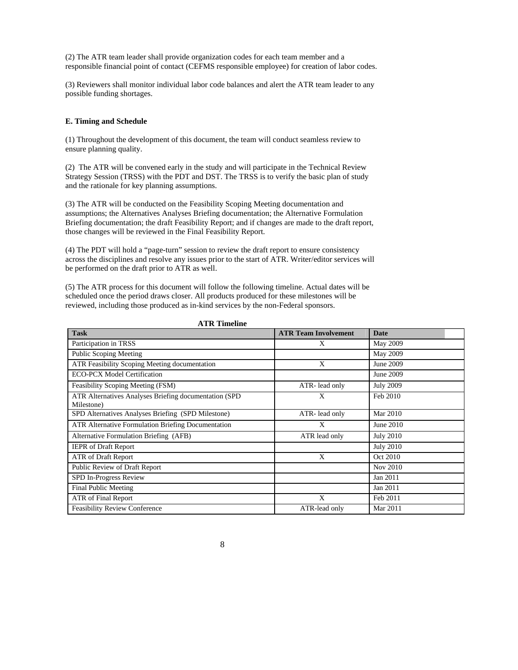(2) The ATR team leader shall provide organization codes for each team member and a responsible financial point of contact (CEFMS responsible employee) for creation of labor codes.

(3) Reviewers shall monitor individual labor code balances and alert the ATR team leader to any possible funding shortages.

## **E. Timing and Schedule**

(1) Throughout the development of this document, the team will conduct seamless review to ensure planning quality.

(2) The ATR will be convened early in the study and will participate in the Technical Review Strategy Session (TRSS) with the PDT and DST. The TRSS is to verify the basic plan of study and the rationale for key planning assumptions.

(3) The ATR will be conducted on the Feasibility Scoping Meeting documentation and assumptions; the Alternatives Analyses Briefing documentation; the Alternative Formulation Briefing documentation; the draft Feasibility Report; and if changes are made to the draft report, those changes will be reviewed in the Final Feasibility Report.

(4) The PDT will hold a "page-turn" session to review the draft report to ensure consistency across the disciplines and resolve any issues prior to the start of ATR. Writer/editor services will be performed on the draft prior to ATR as well.

(5) The ATR process for this document will follow the following timeline. Actual dates will be scheduled once the period draws closer. All products produced for these milestones will be reviewed, including those produced as in-kind services by the non-Federal sponsors.

| <b>Task</b>                                                          | <b>ATR Team Involvement</b> | <b>Date</b>      |
|----------------------------------------------------------------------|-----------------------------|------------------|
| Participation in TRSS                                                | X                           | May 2009         |
| <b>Public Scoping Meeting</b>                                        |                             | May 2009         |
| <b>ATR Feasibility Scoping Meeting documentation</b>                 | X                           | June 2009        |
| <b>ECO-PCX Model Certification</b>                                   |                             | June 2009        |
| Feasibility Scoping Meeting (FSM)                                    | ATR-lead only               | <b>July 2009</b> |
| ATR Alternatives Analyses Briefing documentation (SPD)<br>Milestone) | Χ                           | Feb 2010         |
| SPD Alternatives Analyses Briefing (SPD Milestone)                   | ATR-lead only               | Mar 2010         |
| <b>ATR Alternative Formulation Briefing Documentation</b>            | X                           | June 2010        |
| Alternative Formulation Briefing (AFB)                               | ATR lead only               | <b>July 2010</b> |
| <b>IEPR</b> of Draft Report                                          |                             | <b>July 2010</b> |
| ATR of Draft Report                                                  | X                           | Oct 2010         |
| Public Review of Draft Report                                        |                             | Nov 2010         |
| SPD In-Progress Review                                               |                             | Jan 2011         |
| Final Public Meeting                                                 |                             | Jan 2011         |
| ATR of Final Report                                                  | X                           | Feb 2011         |
| <b>Feasibility Review Conference</b>                                 | ATR-lead only               | Mar 2011         |

**ATR Timeline**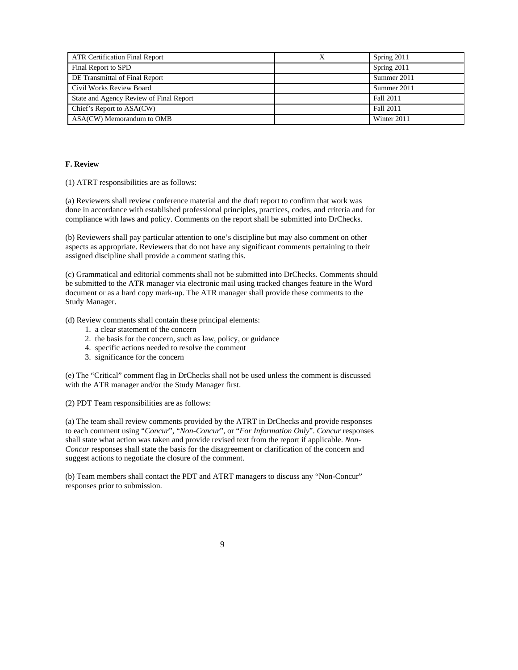| <b>ATR Certification Final Report</b>   | Spring 2011 |
|-----------------------------------------|-------------|
| Final Report to SPD                     | Spring 2011 |
| DE Transmittal of Final Report          | Summer 2011 |
| Civil Works Review Board                | Summer 2011 |
| State and Agency Review of Final Report | Fall 2011   |
| Chief's Report to ASA(CW)               | Fall 2011   |
| ASA(CW) Memorandum to OMB               | Winter 2011 |

# **F. Review**

(1) ATRT responsibilities are as follows:

(a) Reviewers shall review conference material and the draft report to confirm that work was done in accordance with established professional principles, practices, codes, and criteria and for compliance with laws and policy. Comments on the report shall be submitted into DrChecks.

(b) Reviewers shall pay particular attention to one's discipline but may also comment on other aspects as appropriate. Reviewers that do not have any significant comments pertaining to their assigned discipline shall provide a comment stating this.

(c) Grammatical and editorial comments shall not be submitted into DrChecks. Comments should be submitted to the ATR manager via electronic mail using tracked changes feature in the Word document or as a hard copy mark-up. The ATR manager shall provide these comments to the Study Manager.

(d) Review comments shall contain these principal elements:

- 1. a clear statement of the concern
- 2. the basis for the concern, such as law, policy, or guidance
- 4. specific actions needed to resolve the comment
- 3. significance for the concern

(e) The "Critical" comment flag in DrChecks shall not be used unless the comment is discussed with the ATR manager and/or the Study Manager first.

(2) PDT Team responsibilities are as follows:

(a) The team shall review comments provided by the ATRT in DrChecks and provide responses to each comment using "*Concur*", "*Non-Concur*", or "*For Information Only*". *Concur* responses shall state what action was taken and provide revised text from the report if applicable. *Non-Concur* responses shall state the basis for the disagreement or clarification of the concern and suggest actions to negotiate the closure of the comment.

(b) Team members shall contact the PDT and ATRT managers to discuss any "Non-Concur" responses prior to submission.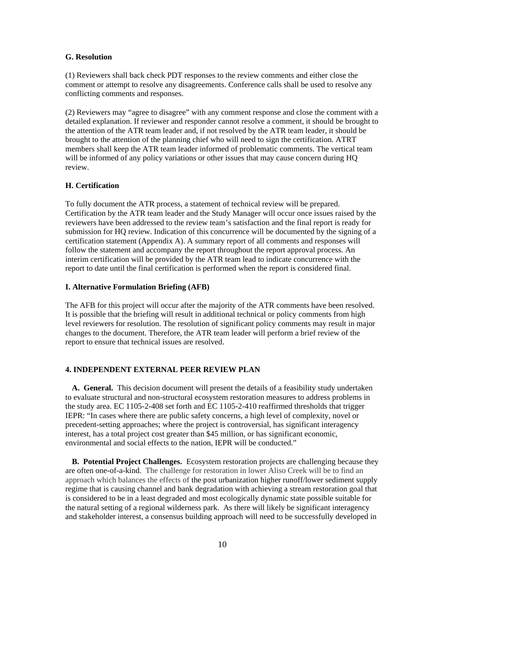## **G. Resolution**

(1) Reviewers shall back check PDT responses to the review comments and either close the comment or attempt to resolve any disagreements. Conference calls shall be used to resolve any conflicting comments and responses.

(2) Reviewers may "agree to disagree" with any comment response and close the comment with a detailed explanation. If reviewer and responder cannot resolve a comment, it should be brought to the attention of the ATR team leader and, if not resolved by the ATR team leader, it should be brought to the attention of the planning chief who will need to sign the certification. ATRT members shall keep the ATR team leader informed of problematic comments. The vertical team will be informed of any policy variations or other issues that may cause concern during HQ review.

## **H. Certification**

To fully document the ATR process, a statement of technical review will be prepared. Certification by the ATR team leader and the Study Manager will occur once issues raised by the reviewers have been addressed to the review team's satisfaction and the final report is ready for submission for HQ review. Indication of this concurrence will be documented by the signing of a certification statement (Appendix A). A summary report of all comments and responses will follow the statement and accompany the report throughout the report approval process. An interim certification will be provided by the ATR team lead to indicate concurrence with the report to date until the final certification is performed when the report is considered final.

#### **I. Alternative Formulation Briefing (AFB)**

The AFB for this project will occur after the majority of the ATR comments have been resolved. It is possible that the briefing will result in additional technical or policy comments from high level reviewers for resolution. The resolution of significant policy comments may result in major changes to the document. Therefore, the ATR team leader will perform a brief review of the report to ensure that technical issues are resolved.

# **4. INDEPENDENT EXTERNAL PEER REVIEW PLAN**

**A. General.** This decision document will present the details of a feasibility study undertaken to evaluate structural and non-structural ecosystem restoration measures to address problems in the study area. EC 1105-2-408 set forth and EC 1105-2-410 reaffirmed thresholds that trigger IEPR: "In cases where there are public safety concerns, a high level of complexity, novel or precedent-setting approaches; where the project is controversial, has significant interagency interest, has a total project cost greater than \$45 million, or has significant economic, environmental and social effects to the nation, IEPR will be conducted."

**B. Potential Project Challenges.** Ecosystem restoration projects are challenging because they are often one-of-a-kind. The challenge for restoration in lower Aliso Creek will be to find an approach which balances the effects of the post urbanization higher runoff/lower sediment supply regime that is causing channel and bank degradation with achieving a stream restoration goal that is considered to be in a least degraded and most ecologically dynamic state possible suitable for the natural setting of a regional wilderness park. As there will likely be significant interagency and stakeholder interest, a consensus building approach will need to be successfully developed in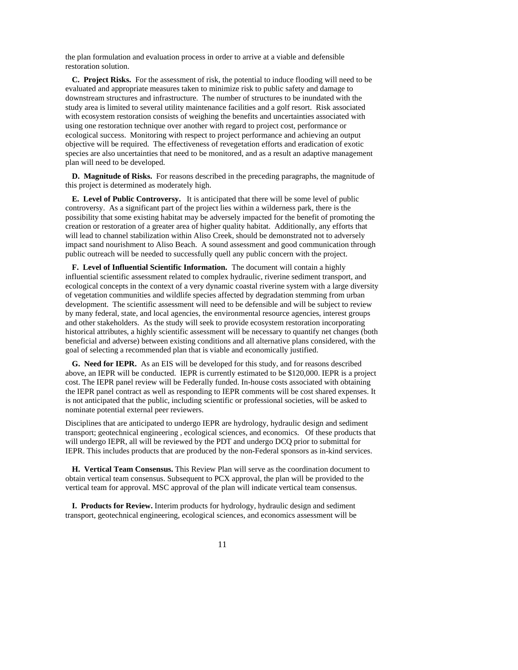the plan formulation and evaluation process in order to arrive at a viable and defensible restoration solution.

**C. Project Risks.** For the assessment of risk, the potential to induce flooding will need to be evaluated and appropriate measures taken to minimize risk to public safety and damage to downstream structures and infrastructure. The number of structures to be inundated with the study area is limited to several utility maintenance facilities and a golf resort. Risk associated with ecosystem restoration consists of weighing the benefits and uncertainties associated with using one restoration technique over another with regard to project cost, performance or ecological success. Monitoring with respect to project performance and achieving an output objective will be required. The effectiveness of revegetation efforts and eradication of exotic species are also uncertainties that need to be monitored, and as a result an adaptive management plan will need to be developed.

**D. Magnitude of Risks.** For reasons described in the preceding paragraphs, the magnitude of this project is determined as moderately high.

**E. Level of Public Controversy.** It is anticipated that there will be some level of public controversy. As a significant part of the project lies within a wilderness park, there is the possibility that some existing habitat may be adversely impacted for the benefit of promoting the creation or restoration of a greater area of higher quality habitat. Additionally, any efforts that will lead to channel stabilization within Aliso Creek, should be demonstrated not to adversely impact sand nourishment to Aliso Beach. A sound assessment and good communication through public outreach will be needed to successfully quell any public concern with the project.

**F. Level of Influential Scientific Information.** The document will contain a highly influential scientific assessment related to complex hydraulic, riverine sediment transport, and ecological concepts in the context of a very dynamic coastal riverine system with a large diversity of vegetation communities and wildlife species affected by degradation stemming from urban development. The scientific assessment will need to be defensible and will be subject to review by many federal, state, and local agencies, the environmental resource agencies, interest groups and other stakeholders. As the study will seek to provide ecosystem restoration incorporating historical attributes, a highly scientific assessment will be necessary to quantify net changes (both beneficial and adverse) between existing conditions and all alternative plans considered, with the goal of selecting a recommended plan that is viable and economically justified.

**G. Need for IEPR.** As an EIS will be developed for this study, and for reasons described above, an IEPR will be conducted. IEPR is currently estimated to be \$120,000. IEPR is a project cost. The IEPR panel review will be Federally funded. In-house costs associated with obtaining the IEPR panel contract as well as responding to IEPR comments will be cost shared expenses. It is not anticipated that the public, including scientific or professional societies, will be asked to nominate potential external peer reviewers.

Disciplines that are anticipated to undergo IEPR are hydrology, hydraulic design and sediment transport; geotechnical engineering , ecological sciences, and economics. Of these products that will undergo IEPR, all will be reviewed by the PDT and undergo DCQ prior to submittal for IEPR. This includes products that are produced by the non-Federal sponsors as in-kind services.

**H. Vertical Team Consensus.** This Review Plan will serve as the coordination document to obtain vertical team consensus. Subsequent to PCX approval, the plan will be provided to the vertical team for approval. MSC approval of the plan will indicate vertical team consensus.

**I. Products for Review.** Interim products for hydrology, hydraulic design and sediment transport, geotechnical engineering, ecological sciences, and economics assessment will be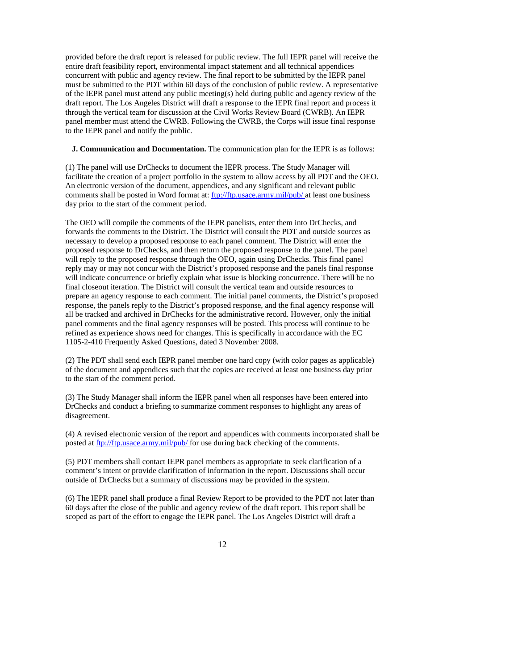provided before the draft report is released for public review. The full IEPR panel will receive the entire draft feasibility report, environmental impact statement and all technical appendices concurrent with public and agency review. The final report to be submitted by the IEPR panel must be submitted to the PDT within 60 days of the conclusion of public review. A representative of the IEPR panel must attend any public meeting(s) held during public and agency review of the draft report. The Los Angeles District will draft a response to the IEPR final report and process it through the vertical team for discussion at the Civil Works Review Board (CWRB). An IEPR panel member must attend the CWRB. Following the CWRB, the Corps will issue final response to the IEPR panel and notify the public.

## **J. Communication and Documentation.** The communication plan for the IEPR is as follows:

(1) The panel will use DrChecks to document the IEPR process. The Study Manager will facilitate the creation of a project portfolio in the system to allow access by all PDT and the OEO. An electronic version of the document, appendices, and any significant and relevant public comments shall be posted in Word format at: ftp://ftp.usace.army.mil/pub/ at least one business day prior to the start of the comment period.

The OEO will compile the comments of the IEPR panelists, enter them into DrChecks, and forwards the comments to the District. The District will consult the PDT and outside sources as necessary to develop a proposed response to each panel comment. The District will enter the proposed response to DrChecks, and then return the proposed response to the panel. The panel will reply to the proposed response through the OEO, again using DrChecks. This final panel reply may or may not concur with the District's proposed response and the panels final response will indicate concurrence or briefly explain what issue is blocking concurrence. There will be no final closeout iteration. The District will consult the vertical team and outside resources to prepare an agency response to each comment. The initial panel comments, the District's proposed response, the panels reply to the District's proposed response, and the final agency response will all be tracked and archived in DrChecks for the administrative record. However, only the initial panel comments and the final agency responses will be posted. This process will continue to be refined as experience shows need for changes. This is specifically in accordance with the EC 1105-2-410 Frequently Asked Questions, dated 3 November 2008.

(2) The PDT shall send each IEPR panel member one hard copy (with color pages as applicable) of the document and appendices such that the copies are received at least one business day prior to the start of the comment period.

(3) The Study Manager shall inform the IEPR panel when all responses have been entered into DrChecks and conduct a briefing to summarize comment responses to highlight any areas of disagreement.

(4) A revised electronic version of the report and appendices with comments incorporated shall be posted at ftp://ftp.usace.army.mil/pub/ for use during back checking of the comments.

(5) PDT members shall contact IEPR panel members as appropriate to seek clarification of a comment's intent or provide clarification of information in the report. Discussions shall occur outside of DrChecks but a summary of discussions may be provided in the system.

(6) The IEPR panel shall produce a final Review Report to be provided to the PDT not later than 60 days after the close of the public and agency review of the draft report. This report shall be scoped as part of the effort to engage the IEPR panel. The Los Angeles District will draft a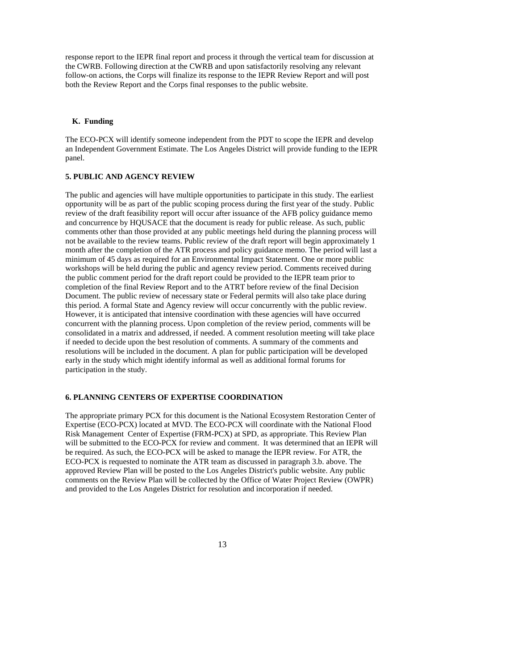response report to the IEPR final report and process it through the vertical team for discussion at the CWRB. Following direction at the CWRB and upon satisfactorily resolving any relevant follow-on actions, the Corps will finalize its response to the IEPR Review Report and will post both the Review Report and the Corps final responses to the public website.

### **K. Funding**

The ECO-PCX will identify someone independent from the PDT to scope the IEPR and develop an Independent Government Estimate. The Los Angeles District will provide funding to the IEPR panel.

## **5. PUBLIC AND AGENCY REVIEW**

The public and agencies will have multiple opportunities to participate in this study. The earliest opportunity will be as part of the public scoping process during the first year of the study. Public review of the draft feasibility report will occur after issuance of the AFB policy guidance memo and concurrence by HQUSACE that the document is ready for public release. As such, public comments other than those provided at any public meetings held during the planning process will not be available to the review teams. Public review of the draft report will begin approximately 1 month after the completion of the ATR process and policy guidance memo. The period will last a minimum of 45 days as required for an Environmental Impact Statement. One or more public workshops will be held during the public and agency review period. Comments received during the public comment period for the draft report could be provided to the IEPR team prior to completion of the final Review Report and to the ATRT before review of the final Decision Document. The public review of necessary state or Federal permits will also take place during this period. A formal State and Agency review will occur concurrently with the public review. However, it is anticipated that intensive coordination with these agencies will have occurred concurrent with the planning process. Upon completion of the review period, comments will be consolidated in a matrix and addressed, if needed. A comment resolution meeting will take place if needed to decide upon the best resolution of comments. A summary of the comments and resolutions will be included in the document. A plan for public participation will be developed early in the study which might identify informal as well as additional formal forums for participation in the study.

#### **6. PLANNING CENTERS OF EXPERTISE COORDINATION**

The appropriate primary PCX for this document is the National Ecosystem Restoration Center of Expertise (ECO-PCX) located at MVD. The ECO-PCX will coordinate with the National Flood Risk Management Center of Expertise (FRM-PCX) at SPD, as appropriate. This Review Plan will be submitted to the ECO-PCX for review and comment. It was determined that an IEPR will be required. As such, the ECO-PCX will be asked to manage the IEPR review. For ATR, the ECO-PCX is requested to nominate the ATR team as discussed in paragraph 3.b. above. The approved Review Plan will be posted to the Los Angeles District's public website. Any public comments on the Review Plan will be collected by the Office of Water Project Review (OWPR) and provided to the Los Angeles District for resolution and incorporation if needed.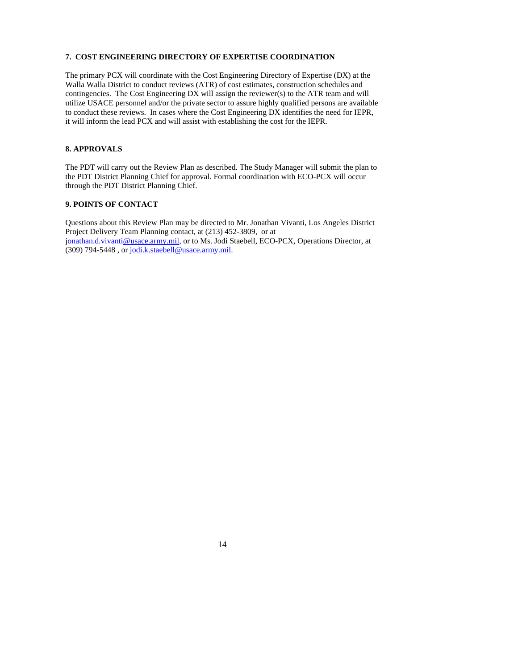# **7. COST ENGINEERING DIRECTORY OF EXPERTISE COORDINATION**

The primary PCX will coordinate with the Cost Engineering Directory of Expertise (DX) at the Walla Walla District to conduct reviews (ATR) of cost estimates, construction schedules and contingencies. The Cost Engineering DX will assign the reviewer(s) to the ATR team and will utilize USACE personnel and/or the private sector to assure highly qualified persons are available to conduct these reviews. In cases where the Cost Engineering DX identifies the need for IEPR, it will inform the lead PCX and will assist with establishing the cost for the IEPR.

# **8. APPROVALS**

The PDT will carry out the Review Plan as described. The Study Manager will submit the plan to the PDT District Planning Chief for approval. Formal coordination with ECO-PCX will occur through the PDT District Planning Chief.

## **9. POINTS OF CONTACT**

Questions about this Review Plan may be directed to Mr. Jonathan Vivanti, Los Angeles District Project Delivery Team Planning contact, at (213) 452-3809, or at jonathan.d.vivanti@usace.army.mil, or to Ms. Jodi Staebell, ECO-PCX, Operations Director, at  $(309)$  794-5448, or jodi.k.staebell@usace.army.mil.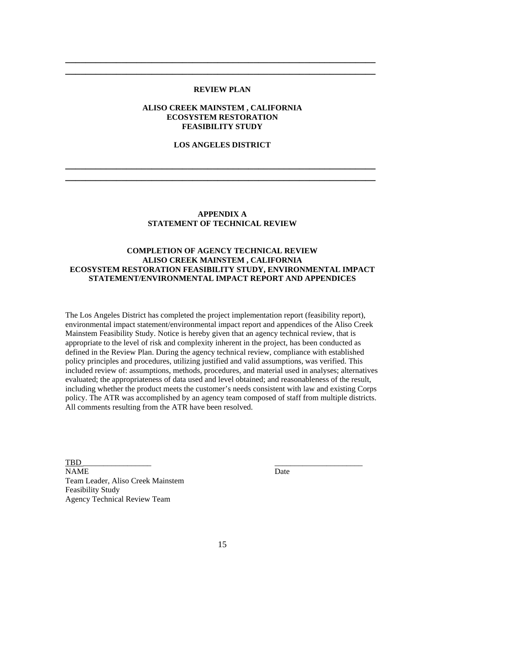## **REVIEW PLAN**

**\_\_\_\_\_\_\_\_\_\_\_\_\_\_\_\_\_\_\_\_\_\_\_\_\_\_\_\_\_\_\_\_\_\_\_\_\_\_\_\_\_\_\_\_\_\_\_\_\_\_\_\_\_\_\_\_\_\_\_\_\_ \_\_\_\_\_\_\_\_\_\_\_\_\_\_\_\_\_\_\_\_\_\_\_\_\_\_\_\_\_\_\_\_\_\_\_\_\_\_\_\_\_\_\_\_\_\_\_\_\_\_\_\_\_\_\_\_\_\_\_\_\_** 

# **ALISO CREEK MAINSTEM , CALIFORNIA ECOSYSTEM RESTORATION FEASIBILITY STUDY**

# **LOS ANGELES DISTRICT**

**\_\_\_\_\_\_\_\_\_\_\_\_\_\_\_\_\_\_\_\_\_\_\_\_\_\_\_\_\_\_\_\_\_\_\_\_\_\_\_\_\_\_\_\_\_\_\_\_\_\_\_\_\_\_\_\_\_\_\_\_\_ \_\_\_\_\_\_\_\_\_\_\_\_\_\_\_\_\_\_\_\_\_\_\_\_\_\_\_\_\_\_\_\_\_\_\_\_\_\_\_\_\_\_\_\_\_\_\_\_\_\_\_\_\_\_\_\_\_\_\_\_\_** 

## **APPENDIX A STATEMENT OF TECHNICAL REVIEW**

## **COMPLETION OF AGENCY TECHNICAL REVIEW ALISO CREEK MAINSTEM , CALIFORNIA ECOSYSTEM RESTORATION FEASIBILITY STUDY, ENVIRONMENTAL IMPACT STATEMENT/ENVIRONMENTAL IMPACT REPORT AND APPENDICES**

The Los Angeles District has completed the project implementation report (feasibility report), environmental impact statement/environmental impact report and appendices of the Aliso Creek Mainstem Feasibility Study. Notice is hereby given that an agency technical review, that is appropriate to the level of risk and complexity inherent in the project, has been conducted as defined in the Review Plan. During the agency technical review, compliance with established policy principles and procedures, utilizing justified and valid assumptions, was verified. This included review of: assumptions, methods, procedures, and material used in analyses; alternatives evaluated; the appropriateness of data used and level obtained; and reasonableness of the result, including whether the product meets the customer's needs consistent with law and existing Corps policy. The ATR was accomplished by an agency team composed of staff from multiple districts. All comments resulting from the ATR have been resolved.

TBD \_\_\_\_\_\_\_\_\_\_\_\_\_\_\_\_\_ \_\_\_\_\_\_\_\_\_\_\_\_\_\_\_\_\_\_\_\_\_\_ NAME Date Team Leader, Aliso Creek Mainstem Feasibility Study Agency Technical Review Team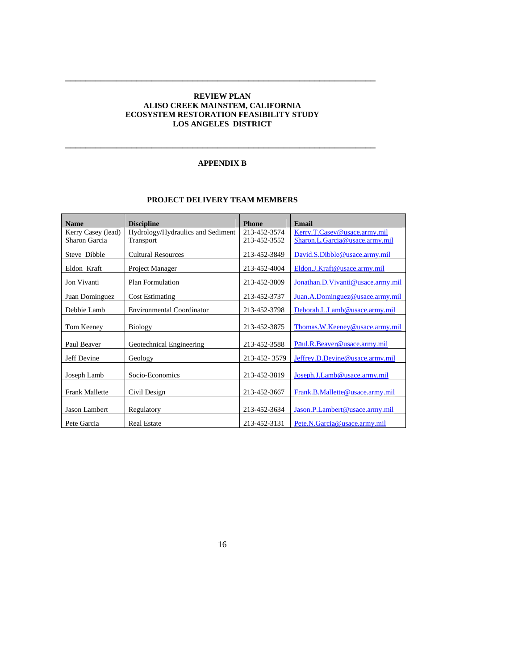# **REVIEW PLAN ALISO CREEK MAINSTEM, CALIFORNIA ECOSYSTEM RESTORATION FEASIBILITY STUDY LOS ANGELES DISTRICT**

**\_\_\_\_\_\_\_\_\_\_\_\_\_\_\_\_\_\_\_\_\_\_\_\_\_\_\_\_\_\_\_\_\_\_\_\_\_\_\_\_\_\_\_\_\_\_\_\_\_\_\_\_\_\_\_\_\_\_\_\_\_** 

# **APPENDIX B**

**\_\_\_\_\_\_\_\_\_\_\_\_\_\_\_\_\_\_\_\_\_\_\_\_\_\_\_\_\_\_\_\_\_\_\_\_\_\_\_\_\_\_\_\_\_\_\_\_\_\_\_\_\_\_\_\_\_\_\_\_\_** 

# **PROJECT DELIVERY TEAM MEMBERS**

| <b>Name</b>           | <b>Discipline</b>                 | <b>Phone</b> | <b>Email</b>                      |
|-----------------------|-----------------------------------|--------------|-----------------------------------|
| Kerry Casey (lead)    | Hydrology/Hydraulics and Sediment | 213-452-3574 | Kerry.T.Casey@usace.army.mil      |
| Sharon Garcia         | Transport                         | 213-452-3552 | Sharon.L.Garcia@usace.army.mil    |
| Steve Dibble          | <b>Cultural Resources</b>         | 213-452-3849 | David.S.Dibble@usace.army.mil     |
| Eldon Kraft           | Project Manager                   | 213-452-4004 | Eldon.J.Kraft@usace.army.mil      |
| Jon Vivanti           | Plan Formulation                  | 213-452-3809 | Jonathan.D.Vivanti@usace.army.mil |
| Juan Dominguez        | <b>Cost Estimating</b>            | 213-452-3737 | Juan.A.Dominguez@usace.army.mil   |
| Debbie Lamb           | <b>Environmental Coordinator</b>  | 213-452-3798 | Deborah.L.Lamb@usace.army.mil     |
| Tom Keeney            | <b>Biology</b>                    | 213-452-3875 | Thomas.W.Keeney@usace.army.mil    |
| Paul Beaver           | Geotechnical Engineering          | 213-452-3588 | Paul.R.Beaver@usace.army.mil      |
| Jeff Devine           | Geology                           | 213-452-3579 | Jeffrey.D.Devine@usace.army.mil   |
| Joseph Lamb           | Socio-Economics                   | 213-452-3819 | Joseph.J.Lamb@usace.army.mil      |
| <b>Frank Mallette</b> | Civil Design                      | 213-452-3667 | Frank.B.Mallette@usace.army.mil   |
| Jason Lambert         | Regulatory                        | 213-452-3634 | Jason.P.Lambert@usace.army.mil    |
| Pete Garcia           | <b>Real Estate</b>                | 213-452-3131 | Pete.N.Garcia@usace.army.mil      |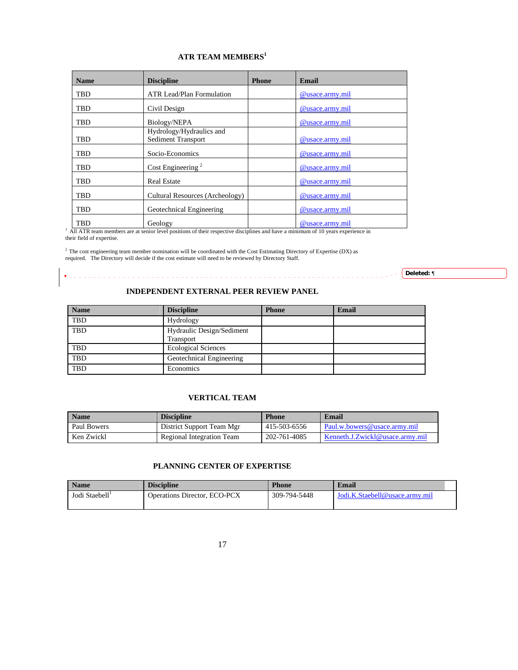# **ATR TEAM MEMBERS<sup>1</sup>**

| <b>Name</b> | <b>Discipline</b>                                     | <b>Phone</b> | <b>Email</b>    |
|-------------|-------------------------------------------------------|--------------|-----------------|
| <b>TBD</b>  | ATR Lead/Plan Formulation                             |              | @usace.army.mil |
| <b>TBD</b>  | Civil Design                                          |              | @usace.army.mil |
| TBD         | Biology/NEPA                                          |              | @usace.army.mil |
| TBD         | Hydrology/Hydraulics and<br><b>Sediment Transport</b> |              | @usace.army.mil |
| <b>TBD</b>  | Socio-Economics                                       |              | @usace.army.mil |
| TBD         | Cost Engineering <sup>2</sup>                         |              | @usace.army.mil |
| <b>TBD</b>  | <b>Real Estate</b>                                    |              | @usace.army.mil |
| <b>TBD</b>  | Cultural Resources (Archeology)                       |              | @usace.army.mil |
| TBD         | Geotechnical Engineering                              |              | @usace.army.mil |
| <b>TBD</b>  | Geology                                               |              | @usace.army.mil |

<sup>1</sup> All ATR team members are at senior level positions of their respective disciplines and have a minimum of 10 years experience in their field of expertise.

2 The cost engineering team member nomination will be coordinated with the Cost Estimating Directory of Expertise (DX) as required. The Directory will decide if the cost estimate will need to be reviewed by Directory Staff.

 $\overline{\mathbf{v}}$ 

**Deleted:** ¶

# **INDEPENDENT EXTERNAL PEER REVIEW PANEL**

| <b>Name</b> | <b>Discipline</b>                             | <b>Phone</b> | <b>Email</b> |
|-------------|-----------------------------------------------|--------------|--------------|
| <b>TBD</b>  | Hydrology                                     |              |              |
| <b>TBD</b>  | Hydraulic Design/Sediment<br><b>Transport</b> |              |              |
| <b>TBD</b>  | <b>Ecological Sciences</b>                    |              |              |
| <b>TBD</b>  | Geotechnical Engineering                      |              |              |
| <b>TBD</b>  | Economics                                     |              |              |

# **VERTICAL TEAM**

| <b>Name</b> | <b>Discipline</b>         | <b>Phone</b> | Email                                        |
|-------------|---------------------------|--------------|----------------------------------------------|
| Paul Bowers | District Support Team Mgr | 415-503-6556 | Paul.w.bowers@usace.army.mil                 |
| Ken Zwickl  | Regional Integration Team | 202-761-4085 | $\mathsf{K}$ Kenneth J.Zwickl@usace.army.mil |

# **PLANNING CENTER OF EXPERTISE**

| <b>Name</b>    | <b>Discipline</b>                   | <b>Phone</b> | Email                          |
|----------------|-------------------------------------|--------------|--------------------------------|
| Jodi Staebell' | <b>Operations Director, ECO-PCX</b> | 309-794-5448 | Jodi.K.Staebell@usace.army.mil |